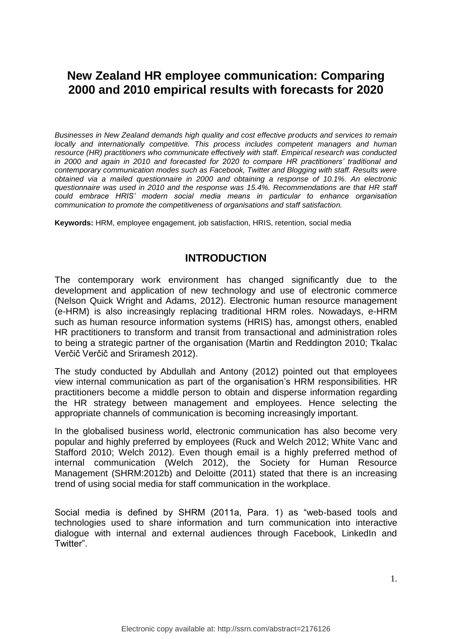# **New Zealand HR employee communication: Comparing 2000 and 2010 empirical results with forecasts for 2020**

*Businesses in New Zealand demands high quality and cost effective products and services to remain locally and internationally competitive. This process includes competent managers and human resource (HR) practitioners who communicate effectively with staff. Empirical research was conducted in 2000 and again in 2010 and forecasted for 2020 to compare HR practitioners' traditional and contemporary communication modes such as Facebook, Twitter and Blogging with staff. Results were obtained via a mailed questionnaire in 2000 and obtaining a response of 10.1%. An electronic questionnaire was used in 2010 and the response was 15.4%. Recommendations are that HR staff could embrace HRIS' modern social media means in particular to enhance organisation communication to promote the competitiveness of organisations and staff satisfaction.*

**Keywords:** HRM, employee engagement, job satisfaction, HRIS, retention, social media

#### **INTRODUCTION**

The contemporary work environment has changed significantly due to the development and application of new technology and use of electronic commerce (Nelson Quick Wright and Adams, 2012). Electronic human resource management (e-HRM) is also increasingly replacing traditional HRM roles. Nowadays, e-HRM such as human resource information systems (HRIS) has, amongst others, enabled HR practitioners to transform and transit from transactional and administration roles to being a strategic partner of the organisation (Martin and Reddington 2010; Tkalac Verčič Verčič and Sriramesh 2012).

The study conducted by Abdullah and Antony (2012) pointed out that employees view internal communication as part of the organisation's HRM responsibilities. HR practitioners become a middle person to obtain and disperse information regarding the HR strategy between management and employees. Hence selecting the appropriate channels of communication is becoming increasingly important.

In the globalised business world, electronic communication has also become very popular and highly preferred by employees (Ruck and Welch 2012; White Vanc and Stafford 2010; Welch 2012). Even though email is a highly preferred method of internal communication (Welch 2012), the Society for Human Resource Management (SHRM:2012b) and Deloitte (2011) stated that there is an increasing trend of using social media for staff communication in the workplace.

Social media is defined by SHRM (2011a, Para. 1) as "web-based tools and technologies used to share information and turn communication into interactive dialogue with internal and external audiences through Facebook, LinkedIn and Twitter".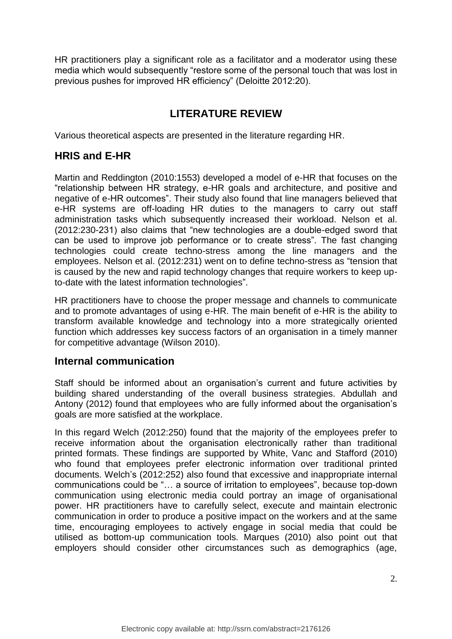HR practitioners play a significant role as a facilitator and a moderator using these media which would subsequently "restore some of the personal touch that was lost in previous pushes for improved HR efficiency" (Deloitte 2012:20).

## **LITERATURE REVIEW**

Various theoretical aspects are presented in the literature regarding HR.

### **HRIS and E-HR**

Martin and Reddington (2010:1553) developed a model of e-HR that focuses on the "relationship between HR strategy, e-HR goals and architecture, and positive and negative of e-HR outcomes". Their study also found that line managers believed that e-HR systems are off-loading HR duties to the managers to carry out staff administration tasks which subsequently increased their workload. Nelson et al. (2012:230-231) also claims that "new technologies are a double-edged sword that can be used to improve job performance or to create stress". The fast changing technologies could create techno-stress among the line managers and the employees. Nelson et al. (2012:231) went on to define techno-stress as "tension that is caused by the new and rapid technology changes that require workers to keep upto-date with the latest information technologies".

HR practitioners have to choose the proper message and channels to communicate and to promote advantages of using e-HR. The main benefit of e-HR is the ability to transform available knowledge and technology into a more strategically oriented function which addresses key success factors of an organisation in a timely manner for competitive advantage (Wilson 2010).

#### **Internal communication**

Staff should be informed about an organisation's current and future activities by building shared understanding of the overall business strategies. Abdullah and Antony (2012) found that employees who are fully informed about the organisation's goals are more satisfied at the workplace.

In this regard Welch (2012:250) found that the majority of the employees prefer to receive information about the organisation electronically rather than traditional printed formats. These findings are supported by White, Vanc and Stafford (2010) who found that employees prefer electronic information over traditional printed documents. Welch's (2012:252) also found that excessive and inappropriate internal communications could be "… a source of irritation to employees", because top-down communication using electronic media could portray an image of organisational power. HR practitioners have to carefully select, execute and maintain electronic communication in order to produce a positive impact on the workers and at the same time, encouraging employees to actively engage in social media that could be utilised as bottom-up communication tools. Marques (2010) also point out that employers should consider other circumstances such as demographics (age,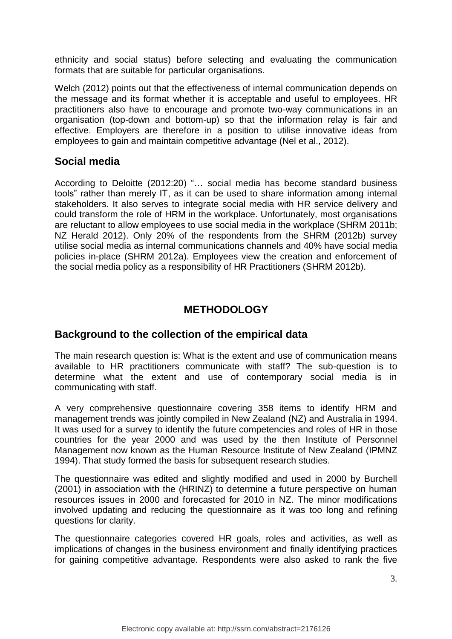ethnicity and social status) before selecting and evaluating the communication formats that are suitable for particular organisations.

Welch (2012) points out that the effectiveness of internal communication depends on the message and its format whether it is acceptable and useful to employees. HR practitioners also have to encourage and promote two-way communications in an organisation (top-down and bottom-up) so that the information relay is fair and effective. Employers are therefore in a position to utilise innovative ideas from employees to gain and maintain competitive advantage (Nel et al., 2012).

#### **Social media**

According to Deloitte (2012:20) "… social media has become standard business tools" rather than merely IT, as it can be used to share information among internal stakeholders. It also serves to integrate social media with HR service delivery and could transform the role of HRM in the workplace. Unfortunately, most organisations are reluctant to allow employees to use social media in the workplace (SHRM 2011b; NZ Herald 2012). Only 20% of the respondents from the SHRM (2012b) survey utilise social media as internal communications channels and 40% have social media policies in-place (SHRM 2012a). Employees view the creation and enforcement of the social media policy as a responsibility of HR Practitioners (SHRM 2012b).

# **METHODOLOGY**

#### **Background to the collection of the empirical data**

The main research question is: What is the extent and use of communication means available to HR practitioners communicate with staff? The sub-question is to determine what the extent and use of contemporary social media is in communicating with staff.

A very comprehensive questionnaire covering 358 items to identify HRM and management trends was jointly compiled in New Zealand (NZ) and Australia in 1994. It was used for a survey to identify the future competencies and roles of HR in those countries for the year 2000 and was used by the then Institute of Personnel Management now known as the Human Resource Institute of New Zealand (IPMNZ 1994). That study formed the basis for subsequent research studies.

The questionnaire was edited and slightly modified and used in 2000 by Burchell (2001) in association with the (HRINZ) to determine a future perspective on human resources issues in 2000 and forecasted for 2010 in NZ. The minor modifications involved updating and reducing the questionnaire as it was too long and refining questions for clarity.

The questionnaire categories covered HR goals, roles and activities, as well as implications of changes in the business environment and finally identifying practices for gaining competitive advantage. Respondents were also asked to rank the five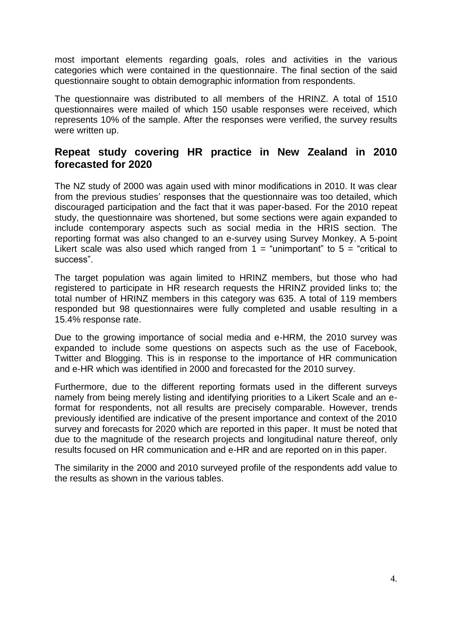most important elements regarding goals, roles and activities in the various categories which were contained in the questionnaire. The final section of the said questionnaire sought to obtain demographic information from respondents.

The questionnaire was distributed to all members of the HRINZ. A total of 1510 questionnaires were mailed of which 150 usable responses were received, which represents 10% of the sample. After the responses were verified, the survey results were written up.

#### **Repeat study covering HR practice in New Zealand in 2010 forecasted for 2020**

The NZ study of 2000 was again used with minor modifications in 2010. It was clear from the previous studies' responses that the questionnaire was too detailed, which discouraged participation and the fact that it was paper-based. For the 2010 repeat study, the questionnaire was shortened, but some sections were again expanded to include contemporary aspects such as social media in the HRIS section. The reporting format was also changed to an e-survey using Survey Monkey. A 5-point Likert scale was also used which ranged from  $1 =$  "unimportant" to  $5 =$  "critical to success".

The target population was again limited to HRINZ members, but those who had registered to participate in HR research requests the HRINZ provided links to; the total number of HRINZ members in this category was 635. A total of 119 members responded but 98 questionnaires were fully completed and usable resulting in a 15.4% response rate.

Due to the growing importance of social media and e-HRM, the 2010 survey was expanded to include some questions on aspects such as the use of Facebook, Twitter and Blogging. This is in response to the importance of HR communication and e-HR which was identified in 2000 and forecasted for the 2010 survey.

Furthermore, due to the different reporting formats used in the different surveys namely from being merely listing and identifying priorities to a Likert Scale and an eformat for respondents, not all results are precisely comparable. However, trends previously identified are indicative of the present importance and context of the 2010 survey and forecasts for 2020 which are reported in this paper. It must be noted that due to the magnitude of the research projects and longitudinal nature thereof, only results focused on HR communication and e-HR and are reported on in this paper.

The similarity in the 2000 and 2010 surveyed profile of the respondents add value to the results as shown in the various tables.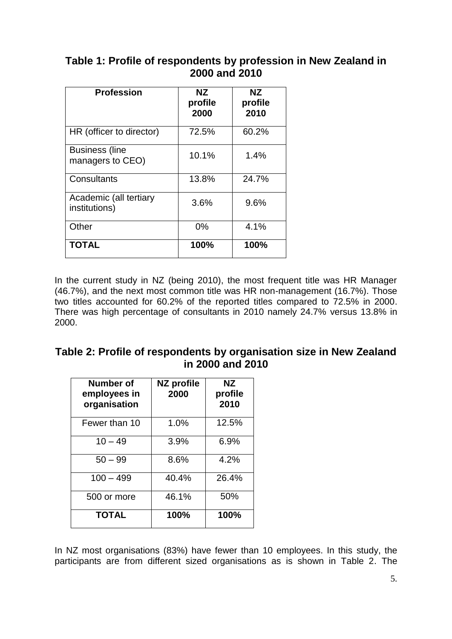### **Table 1: Profile of respondents by profession in New Zealand in 2000 and 2010**

| <b>Profession</b>                         | NZ.<br>profile<br>2000 | NZ.<br>profile<br>2010 |
|-------------------------------------------|------------------------|------------------------|
| HR (officer to director)                  | 72.5%                  | 60.2%                  |
| <b>Business (line</b><br>managers to CEO) | 10.1%                  | 1.4%                   |
| Consultants                               | 13.8%                  | 24.7%                  |
| Academic (all tertiary<br>institutions)   | 3.6%                   | 9.6%                   |
| Other                                     | 0%                     | 4.1%                   |
| <b>TOTAL</b>                              | 100%                   | 100%                   |

In the current study in NZ (being 2010), the most frequent title was HR Manager (46.7%), and the next most common title was HR non-management (16.7%). Those two titles accounted for 60.2% of the reported titles compared to 72.5% in 2000. There was high percentage of consultants in 2010 namely 24.7% versus 13.8% in 2000.

| Table 2: Profile of respondents by organisation size in New Zealand |  |  |  |
|---------------------------------------------------------------------|--|--|--|
| in 2000 and 2010                                                    |  |  |  |

| Number of<br>employees in<br>organisation | NZ profile<br>2000 | ΝZ<br>profile<br>2010 |
|-------------------------------------------|--------------------|-----------------------|
| Fewer than 10                             | 1.0%               | 12.5%                 |
| $10 - 49$                                 | 3.9%               | 6.9%                  |
| $50 - 99$                                 | 8.6%               | 4.2%                  |
| $100 - 499$                               | 40.4%              | 26.4%                 |
| 500 or more                               | 46.1%              | 50%                   |
| <b>TOTAL</b>                              | 100%               | 100%                  |

In NZ most organisations (83%) have fewer than 10 employees. In this study, the participants are from different sized organisations as is shown in Table 2. The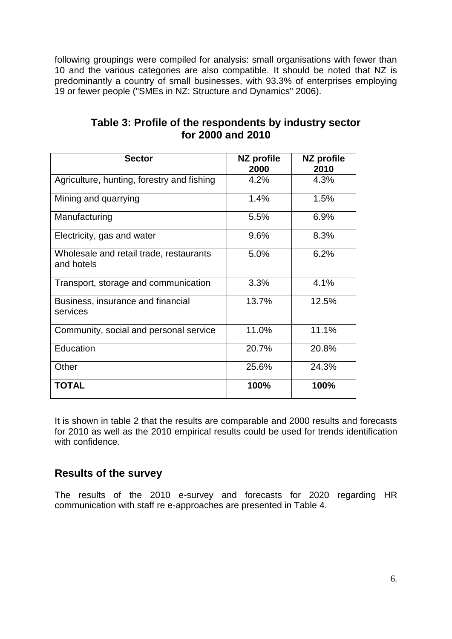following groupings were compiled for analysis: small organisations with fewer than 10 and the various categories are also compatible. It should be noted that NZ is predominantly a country of small businesses, with 93.3% of enterprises employing 19 or fewer people ("SMEs in NZ: Structure and Dynamics" 2006).

| <b>Sector</b>                                         | NZ profile<br>2000 | NZ profile<br>2010 |  |
|-------------------------------------------------------|--------------------|--------------------|--|
| Agriculture, hunting, forestry and fishing            | 4.2%               | 4.3%               |  |
| Mining and quarrying                                  | 1.4%               | 1.5%               |  |
| Manufacturing                                         | 6.9%<br>5.5%       |                    |  |
| Electricity, gas and water                            | 9.6%               | 8.3%               |  |
| Wholesale and retail trade, restaurants<br>and hotels | 5.0%               | 6.2%               |  |
| Transport, storage and communication                  | 3.3%               | 4.1%               |  |
| Business, insurance and financial<br>services         | 13.7%              | 12.5%              |  |
| Community, social and personal service                | 11.0%              | 11.1%              |  |
| Education                                             | 20.7%              | 20.8%              |  |
| Other                                                 | 25.6%              | 24.3%              |  |
| TOTAL                                                 | 100%               | 100%               |  |

### **Table 3: Profile of the respondents by industry sector for 2000 and 2010**

It is shown in table 2 that the results are comparable and 2000 results and forecasts for 2010 as well as the 2010 empirical results could be used for trends identification with confidence.

### **Results of the survey**

The results of the 2010 e-survey and forecasts for 2020 regarding HR communication with staff re e-approaches are presented in Table 4.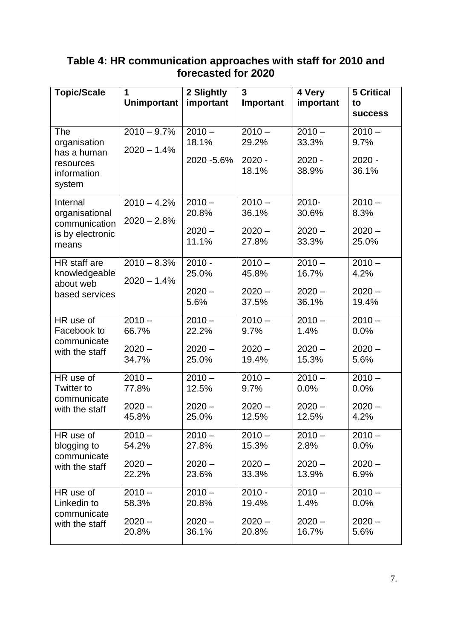| <b>Topic/Scale</b><br>1       |                    | 2 Slightly  | $\overline{3}$ | 4 Very    | <b>5 Critical</b>  |
|-------------------------------|--------------------|-------------|----------------|-----------|--------------------|
|                               | <b>Unimportant</b> | important   | Important      | important | to                 |
|                               |                    |             |                |           | <b>SUCCESS</b>     |
| The                           | $2010 - 9.7\%$     | $2010 -$    | $2010 -$       | $2010 -$  | $2010 -$           |
| organisation                  | $2020 - 1.4%$      | 18.1%       | 29.2%          | 33.3%     | 9.7%               |
| has a human                   |                    | 2020 - 5.6% | $2020 -$       | 2020 -    | $2020 -$           |
| resources<br>information      |                    |             | 18.1%          | 38.9%     | 36.1%              |
| system                        |                    |             |                |           |                    |
| Internal                      | $2010 - 4.2%$      | $2010 -$    | $2010 -$       | 2010-     | $2010 -$           |
| organisational                |                    | 20.8%       | 36.1%          | 30.6%     | 8.3%               |
| communication                 | $2020 - 2.8%$      |             |                |           |                    |
| is by electronic              |                    | $2020 -$    | $2020 -$       | $2020 -$  | $2020 -$           |
| means                         |                    | 11.1%       | 27.8%          | 33.3%     | 25.0%              |
| HR staff are                  | $2010 - 8.3%$      | $2010 -$    | $2010 -$       | $2010 -$  | $2010 -$           |
| knowledgeable                 | $2020 - 1.4%$      | 25.0%       | 45.8%          | 16.7%     | 4.2%               |
| about web<br>based services   |                    | $2020 -$    | $2020 -$       | $2020 -$  | $2020 -$           |
|                               |                    | 5.6%        | 37.5%          | 36.1%     | 19.4%              |
| HR use of                     | $2010 -$           | $2010 -$    | $2010 -$       | $2010 -$  | $2010 -$           |
| Facebook to                   | 66.7%              | 22.2%       | 9.7%           | 1.4%      | 0.0%               |
| communicate<br>with the staff | $2020 -$           | $2020 -$    | $2020 -$       | $2020 -$  | $2020 -$           |
|                               | 34.7%              | 25.0%       | 19.4%          | 15.3%     | 5.6%               |
| HR use of                     | $2010 -$           | $2010 -$    | $2010 -$       | $2010 -$  | $\frac{1}{2010}$ – |
| <b>Twitter to</b>             | 77.8%              | 12.5%       | 9.7%           | 0.0%      | 0.0%               |
| communicate<br>with the staff | $2020 -$           | $2020 -$    | $2020 -$       | $2020 -$  | $2020 -$           |
|                               | 45.8%              | 25.0%       | 12.5%          | 12.5%     | 4.2%               |
| HR use of                     | $2010 -$           | $2010 -$    | $2010 -$       | $2010 -$  | $2010 -$           |
| blogging to                   | 54.2%              | 27.8%       | 15.3%          | 2.8%      | 0.0%               |
| communicate<br>with the staff | $2020 -$           | $2020 -$    | $2020 -$       | $2020 -$  | $2020 -$           |
|                               | 22.2%              | 23.6%       | 33.3%          | 13.9%     | 6.9%               |
| HR use of                     | $2010 -$           | $2010 -$    | $2010 -$       | $2010 -$  | $2010 -$           |
| Linkedin to                   | 58.3%              | 20.8%       | 19.4%          | 1.4%      | 0.0%               |
| communicate<br>with the staff | $2020 -$           | $2020 -$    | $2020 -$       | $2020 -$  | $2020 -$           |
|                               | 20.8%              | 36.1%       | 20.8%          | 16.7%     | 5.6%               |

### **Table 4: HR communication approaches with staff for 2010 and forecasted for 2020**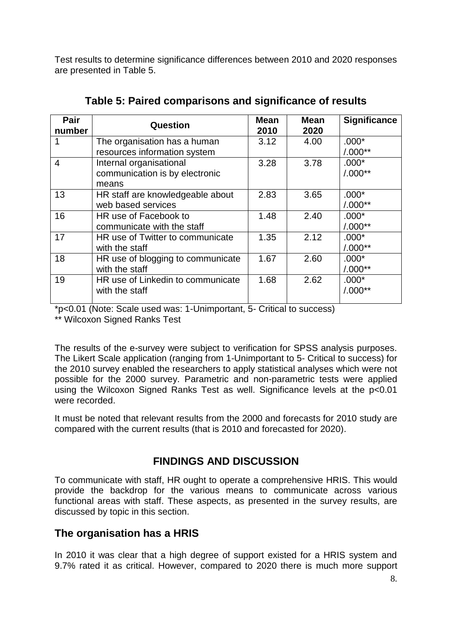Test results to determine significance differences between 2010 and 2020 responses are presented in Table 5.

| Pair<br>number | Question                          | <b>Mean</b><br>2010 | <b>Mean</b><br>2020 | <b>Significance</b> |
|----------------|-----------------------------------|---------------------|---------------------|---------------------|
| 1              | The organisation has a human      | 3.12                | 4.00                | $.000*$             |
|                | resources information system      |                     |                     | $/0.00$ **          |
| $\overline{4}$ | Internal organisational           | 3.28                | 3.78                | $.000*$             |
|                | communication is by electronic    |                     |                     | $/0.00$ **          |
|                | means                             |                     |                     |                     |
| 13             | HR staff are knowledgeable about  | 2.83                | 3.65                | $.000*$             |
|                | web based services                |                     |                     | $/0.00$ **          |
| 16             | HR use of Facebook to             | 1.48                | 2.40                | $.000*$             |
|                | communicate with the staff        |                     |                     | $/0.00$ **          |
| 17             | HR use of Twitter to communicate  | 1.35                | 2.12                | $.000*$             |
|                | with the staff                    |                     |                     | $/0.00$ **          |
| 18             | HR use of blogging to communicate | 1.67                | 2.60                | $.000*$             |
|                | with the staff                    |                     |                     | $/0.00$ **          |
| 19             | HR use of Linkedin to communicate | 1.68                | 2.62                | $.000*$             |
|                | with the staff                    |                     |                     | $/0.00$ **          |
|                |                                   |                     |                     |                     |

**Table 5: Paired comparisons and significance of results**

\*p<0.01 (Note: Scale used was: 1-Unimportant, 5- Critical to success)

\*\* Wilcoxon Signed Ranks Test

The results of the e-survey were subject to verification for SPSS analysis purposes. The Likert Scale application (ranging from 1-Unimportant to 5- Critical to success) for the 2010 survey enabled the researchers to apply statistical analyses which were not possible for the 2000 survey. Parametric and non-parametric tests were applied using the Wilcoxon Signed Ranks Test as well. Significance levels at the p<0.01 were recorded.

It must be noted that relevant results from the 2000 and forecasts for 2010 study are compared with the current results (that is 2010 and forecasted for 2020).

### **FINDINGS AND DISCUSSION**

To communicate with staff, HR ought to operate a comprehensive HRIS. This would provide the backdrop for the various means to communicate across various functional areas with staff. These aspects, as presented in the survey results, are discussed by topic in this section.

### **The organisation has a HRIS**

In 2010 it was clear that a high degree of support existed for a HRIS system and 9.7% rated it as critical. However, compared to 2020 there is much more support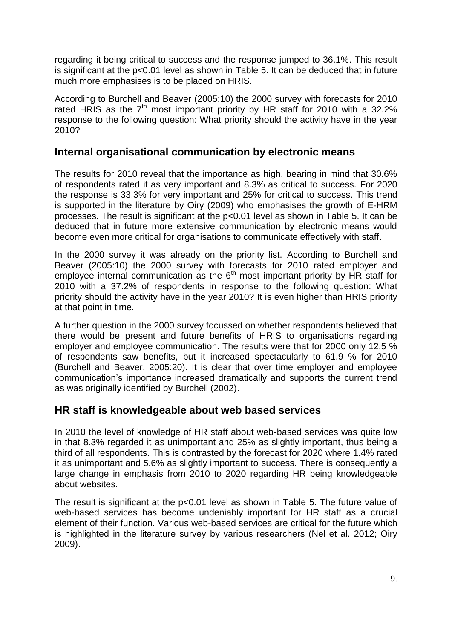regarding it being critical to success and the response jumped to 36.1%. This result is significant at the p<0.01 level as shown in Table 5. It can be deduced that in future much more emphasises is to be placed on HRIS.

According to Burchell and Beaver (2005:10) the 2000 survey with forecasts for 2010 rated HRIS as the  $7<sup>th</sup>$  most important priority by HR staff for 2010 with a 32.2% response to the following question: What priority should the activity have in the year 2010?

#### **Internal organisational communication by electronic means**

The results for 2010 reveal that the importance as high, bearing in mind that 30.6% of respondents rated it as very important and 8.3% as critical to success. For 2020 the response is 33.3% for very important and 25% for critical to success. This trend is supported in the literature by Oiry (2009) who emphasises the growth of E-HRM processes. The result is significant at the p<0.01 level as shown in Table 5. It can be deduced that in future more extensive communication by electronic means would become even more critical for organisations to communicate effectively with staff.

In the 2000 survey it was already on the priority list. According to Burchell and Beaver (2005:10) the 2000 survey with forecasts for 2010 rated employer and employee internal communication as the  $6<sup>th</sup>$  most important priority by HR staff for 2010 with a 37.2% of respondents in response to the following question: What priority should the activity have in the year 2010? It is even higher than HRIS priority at that point in time.

A further question in the 2000 survey focussed on whether respondents believed that there would be present and future benefits of HRIS to organisations regarding employer and employee communication. The results were that for 2000 only 12.5 % of respondents saw benefits, but it increased spectacularly to 61.9 % for 2010 (Burchell and Beaver, 2005:20). It is clear that over time employer and employee communication's importance increased dramatically and supports the current trend as was originally identified by Burchell (2002).

#### **HR staff is knowledgeable about web based services**

In 2010 the level of knowledge of HR staff about web-based services was quite low in that 8.3% regarded it as unimportant and 25% as slightly important, thus being a third of all respondents. This is contrasted by the forecast for 2020 where 1.4% rated it as unimportant and 5.6% as slightly important to success. There is consequently a large change in emphasis from 2010 to 2020 regarding HR being knowledgeable about websites.

The result is significant at the p<0.01 level as shown in Table 5. The future value of web-based services has become undeniably important for HR staff as a crucial element of their function. Various web-based services are critical for the future which is highlighted in the literature survey by various researchers (Nel et al. 2012; Oiry 2009).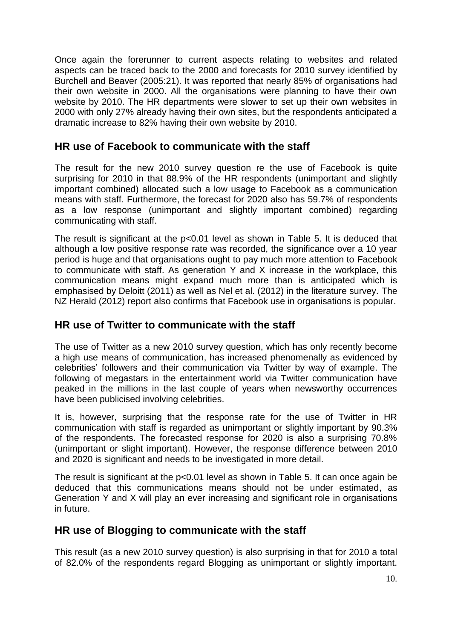Once again the forerunner to current aspects relating to websites and related aspects can be traced back to the 2000 and forecasts for 2010 survey identified by Burchell and Beaver (2005:21). It was reported that nearly 85% of organisations had their own website in 2000. All the organisations were planning to have their own website by 2010. The HR departments were slower to set up their own websites in 2000 with only 27% already having their own sites, but the respondents anticipated a dramatic increase to 82% having their own website by 2010.

### **HR use of Facebook to communicate with the staff**

The result for the new 2010 survey question re the use of Facebook is quite surprising for 2010 in that 88.9% of the HR respondents (unimportant and slightly important combined) allocated such a low usage to Facebook as a communication means with staff. Furthermore, the forecast for 2020 also has 59.7% of respondents as a low response (unimportant and slightly important combined) regarding communicating with staff.

The result is significant at the p<0.01 level as shown in Table 5. It is deduced that although a low positive response rate was recorded, the significance over a 10 year period is huge and that organisations ought to pay much more attention to Facebook to communicate with staff. As generation Y and X increase in the workplace, this communication means might expand much more than is anticipated which is emphasised by Deloitt (2011) as well as Nel et al. (2012) in the literature survey. The NZ Herald (2012) report also confirms that Facebook use in organisations is popular.

#### **HR use of Twitter to communicate with the staff**

The use of Twitter as a new 2010 survey question, which has only recently become a high use means of communication, has increased phenomenally as evidenced by celebrities' followers and their communication via Twitter by way of example. The following of megastars in the entertainment world via Twitter communication have peaked in the millions in the last couple of years when newsworthy occurrences have been publicised involving celebrities.

It is, however, surprising that the response rate for the use of Twitter in HR communication with staff is regarded as unimportant or slightly important by 90.3% of the respondents. The forecasted response for 2020 is also a surprising 70.8% (unimportant or slight important). However, the response difference between 2010 and 2020 is significant and needs to be investigated in more detail.

The result is significant at the p<0.01 level as shown in Table 5. It can once again be deduced that this communications means should not be under estimated, as Generation Y and X will play an ever increasing and significant role in organisations in future.

### **HR use of Blogging to communicate with the staff**

This result (as a new 2010 survey question) is also surprising in that for 2010 a total of 82.0% of the respondents regard Blogging as unimportant or slightly important.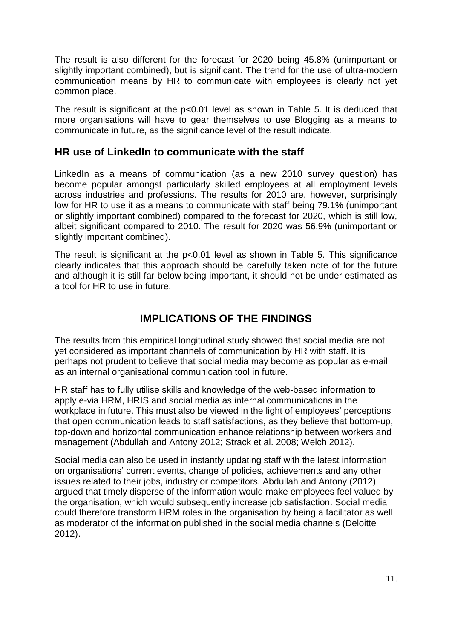The result is also different for the forecast for 2020 being 45.8% (unimportant or slightly important combined), but is significant. The trend for the use of ultra-modern communication means by HR to communicate with employees is clearly not yet common place.

The result is significant at the p<0.01 level as shown in Table 5. It is deduced that more organisations will have to gear themselves to use Blogging as a means to communicate in future, as the significance level of the result indicate.

#### **HR use of LinkedIn to communicate with the staff**

LinkedIn as a means of communication (as a new 2010 survey question) has become popular amongst particularly skilled employees at all employment levels across industries and professions. The results for 2010 are, however, surprisingly low for HR to use it as a means to communicate with staff being 79.1% (unimportant or slightly important combined) compared to the forecast for 2020, which is still low, albeit significant compared to 2010. The result for 2020 was 56.9% (unimportant or slightly important combined).

The result is significant at the p<0.01 level as shown in Table 5. This significance clearly indicates that this approach should be carefully taken note of for the future and although it is still far below being important, it should not be under estimated as a tool for HR to use in future.

### **IMPLICATIONS OF THE FINDINGS**

The results from this empirical longitudinal study showed that social media are not yet considered as important channels of communication by HR with staff. It is perhaps not prudent to believe that social media may become as popular as e-mail as an internal organisational communication tool in future.

HR staff has to fully utilise skills and knowledge of the web-based information to apply e-via HRM, HRIS and social media as internal communications in the workplace in future. This must also be viewed in the light of employees' perceptions that open communication leads to staff satisfactions, as they believe that bottom-up, top-down and horizontal communication enhance relationship between workers and management (Abdullah and Antony 2012; Strack et al. 2008; Welch 2012).

Social media can also be used in instantly updating staff with the latest information on organisations' current events, change of policies, achievements and any other issues related to their jobs, industry or competitors. Abdullah and Antony (2012) argued that timely disperse of the information would make employees feel valued by the organisation, which would subsequently increase job satisfaction. Social media could therefore transform HRM roles in the organisation by being a facilitator as well as moderator of the information published in the social media channels (Deloitte 2012).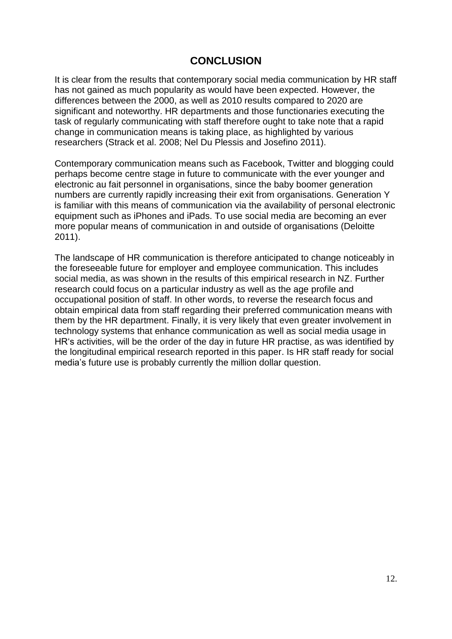#### **CONCLUSION**

It is clear from the results that contemporary social media communication by HR staff has not gained as much popularity as would have been expected. However, the differences between the 2000, as well as 2010 results compared to 2020 are significant and noteworthy. HR departments and those functionaries executing the task of regularly communicating with staff therefore ought to take note that a rapid change in communication means is taking place, as highlighted by various researchers (Strack et al. 2008; Nel Du Plessis and Josefino 2011).

Contemporary communication means such as Facebook, Twitter and blogging could perhaps become centre stage in future to communicate with the ever younger and electronic au fait personnel in organisations, since the baby boomer generation numbers are currently rapidly increasing their exit from organisations. Generation Y is familiar with this means of communication via the availability of personal electronic equipment such as iPhones and iPads. To use social media are becoming an ever more popular means of communication in and outside of organisations (Deloitte 2011).

The landscape of HR communication is therefore anticipated to change noticeably in the foreseeable future for employer and employee communication. This includes social media, as was shown in the results of this empirical research in NZ. Further research could focus on a particular industry as well as the age profile and occupational position of staff. In other words, to reverse the research focus and obtain empirical data from staff regarding their preferred communication means with them by the HR department. Finally, it is very likely that even greater involvement in technology systems that enhance communication as well as social media usage in HR's activities, will be the order of the day in future HR practise, as was identified by the longitudinal empirical research reported in this paper. Is HR staff ready for social media's future use is probably currently the million dollar question.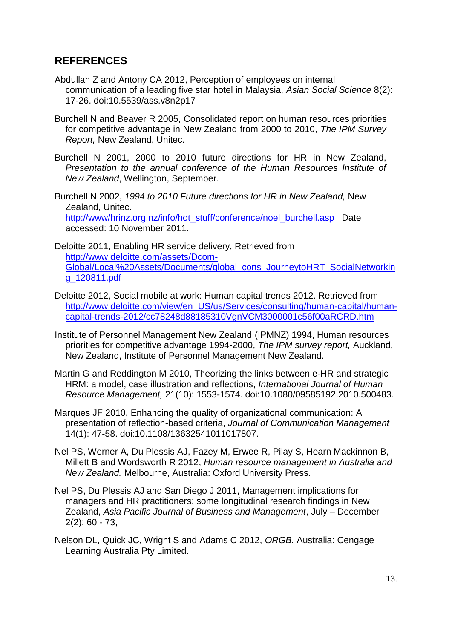### **REFERENCES**

- Abdullah Z and Antony CA 2012, Perception of employees on internal communication of a leading five star hotel in Malaysia, *Asian Social Science* 8(2): 17-26. doi:10.5539/ass.v8n2p17
- Burchell N and Beaver R 2005, Consolidated report on human resources priorities for competitive advantage in New Zealand from 2000 to 2010, *The IPM Survey Report,* New Zealand, Unitec.
- Burchell N 2001, 2000 to 2010 future directions for HR in New Zealand, *Presentation to the annual conference of the Human Resources Institute of New Zealand*, Wellington, September.
- Burchell N 2002, *1994 to 2010 Future directions for HR in New Zealand,* New Zealand, Unitec. [http://www/hrinz.org.nz/info/hot\\_stuff/conference/noel\\_burchell.asp](http://www/hrinz.org.nz/info/hot_stuff/conference/noel_burchell.asp) Date accessed: 10 November 2011.
- Deloitte 2011, Enabling HR service delivery, Retrieved from [http://www.deloitte.com/assets/Dcom-](http://www.deloitte.com/assets/Dcom-Global/Local%20Assets/Documents/global_cons_JourneytoHRT_SocialNetworking_120811.pdf)[Global/Local%20Assets/Documents/global\\_cons\\_JourneytoHRT\\_SocialNetworkin](http://www.deloitte.com/assets/Dcom-Global/Local%20Assets/Documents/global_cons_JourneytoHRT_SocialNetworking_120811.pdf) [g\\_120811.pdf](http://www.deloitte.com/assets/Dcom-Global/Local%20Assets/Documents/global_cons_JourneytoHRT_SocialNetworking_120811.pdf)
- Deloitte 2012, Social mobile at work: Human capital trends 2012. Retrieved from [http://www.deloitte.com/view/en\\_US/us/Services/consulting/human-capital/human](http://www.deloitte.com/view/en_US/us/Services/consulting/human-capital/human-capital-trends-2012/cc78248d88185310VgnVCM3000001c56f00aRCRD.htm)[capital-trends-2012/cc78248d88185310VgnVCM3000001c56f00aRCRD.htm](http://www.deloitte.com/view/en_US/us/Services/consulting/human-capital/human-capital-trends-2012/cc78248d88185310VgnVCM3000001c56f00aRCRD.htm)
- Institute of Personnel Management New Zealand (IPMNZ) 1994, Human resources priorities for competitive advantage 1994-2000, *The IPM survey report,* Auckland, New Zealand, Institute of Personnel Management New Zealand.
- Martin G and Reddington M 2010, Theorizing the links between e-HR and strategic HRM: a model, case illustration and reflections, *International Journal of Human Resource Management,* 21(10): 1553-1574. doi:10.1080/09585192.2010.500483.
- Marques JF 2010, Enhancing the quality of organizational communication: A presentation of reflection-based criteria, *Journal of Communication Management*  14(1): 47-58. doi:10.1108/13632541011017807.
- Nel PS, Werner A, Du Plessis AJ, Fazey M, Erwee R, Pilay S, Hearn Mackinnon B, Millett B and Wordsworth R 2012, *Human resource management in Australia and New Zealand.* Melbourne, Australia: Oxford University Press.
- Nel PS, Du Plessis AJ and San Diego J 2011, Management implications for managers and HR practitioners: some longitudinal research findings in New Zealand, *Asia Pacific Journal of Business and Management*, July – December 2(2): 60 - 73,
- Nelson DL, Quick JC, Wright S and Adams C 2012, *ORGB.* Australia: Cengage Learning Australia Pty Limited.